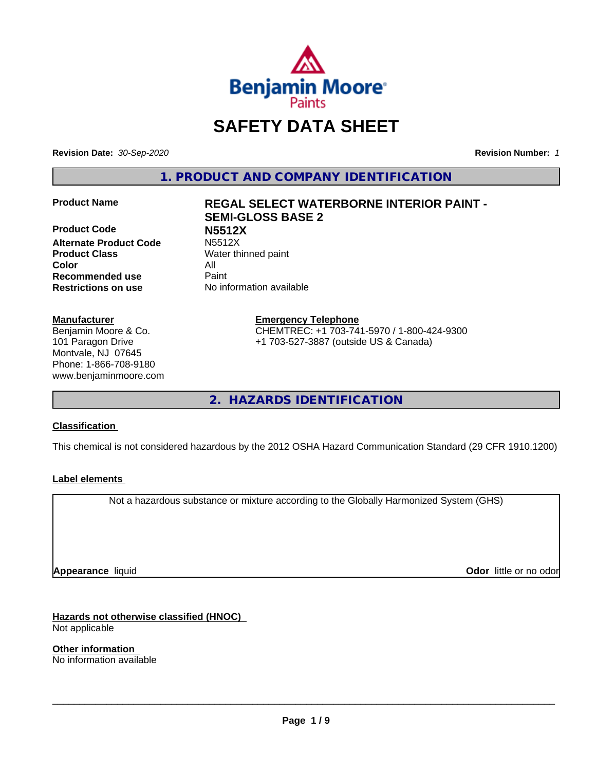

## **SAFETY DATA SHEET**

**Revision Date:** *30-Sep-2020* **Revision Number:** *1*

**1. PRODUCT AND COMPANY IDENTIFICATION**

**Product Code N5512X Alternate Product Code Product Class** Water thinned paint **Color** All **Recommended use** Paint **Restrictions on use** No information available

#### **Manufacturer**

Benjamin Moore & Co. 101 Paragon Drive Montvale, NJ 07645 Phone: 1-866-708-9180 www.benjaminmoore.com

# **Product Name REGAL SELECT WATERBORNE INTERIOR PAINT - SEMI-GLOSS BASE 2**

**Emergency Telephone** CHEMTREC: +1 703-741-5970 / 1-800-424-9300 +1 703-527-3887 (outside US & Canada)

**2. HAZARDS IDENTIFICATION**

#### **Classification**

This chemical is not considered hazardous by the 2012 OSHA Hazard Communication Standard (29 CFR 1910.1200)

#### **Label elements**

Not a hazardous substance or mixture according to the Globally Harmonized System (GHS)

**Appearance** liquid

**Odor** little or no odor

**Hazards not otherwise classified (HNOC)** Not applicable

**Other information** No information available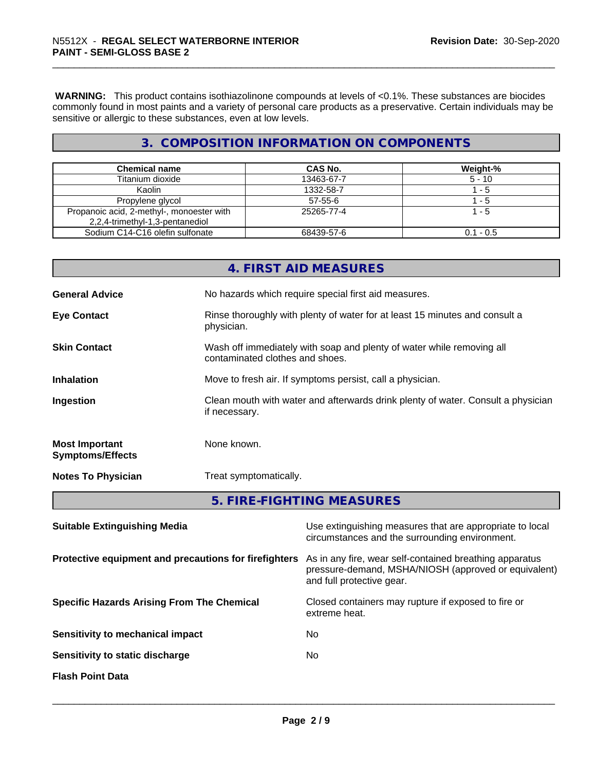**WARNING:** This product contains isothiazolinone compounds at levels of <0.1%. These substances are biocides commonly found in most paints and a variety of personal care products as a preservative. Certain individuals may be sensitive or allergic to these substances, even at low levels.

#### **3. COMPOSITION INFORMATION ON COMPONENTS**

| <b>Chemical name</b>                      | <b>CAS No.</b> | Weight-%    |
|-------------------------------------------|----------------|-------------|
| Titanium dioxide                          | 13463-67-7     | $5 - 10$    |
| Kaolin                                    | 1332-58-7      | - 5         |
| Propylene glycol                          | $57 - 55 - 6$  | - 5         |
| Propanoic acid, 2-methyl-, monoester with | 25265-77-4     | - 5         |
| 2,2,4-trimethyl-1,3-pentanediol           |                |             |
| Sodium C14-C16 olefin sulfonate           | 68439-57-6     | $0.1 - 0.5$ |

|                                                       |               | 4. FIRST AID MEASURES                                                                                                                        |  |  |
|-------------------------------------------------------|---------------|----------------------------------------------------------------------------------------------------------------------------------------------|--|--|
| <b>General Advice</b>                                 |               | No hazards which require special first aid measures.                                                                                         |  |  |
| <b>Eye Contact</b>                                    | physician.    | Rinse thoroughly with plenty of water for at least 15 minutes and consult a                                                                  |  |  |
| <b>Skin Contact</b>                                   |               | Wash off immediately with soap and plenty of water while removing all<br>contaminated clothes and shoes.                                     |  |  |
| <b>Inhalation</b>                                     |               | Move to fresh air. If symptoms persist, call a physician.                                                                                    |  |  |
| Ingestion                                             | if necessary. | Clean mouth with water and afterwards drink plenty of water. Consult a physician                                                             |  |  |
| <b>Most Important</b><br><b>Symptoms/Effects</b>      | None known.   |                                                                                                                                              |  |  |
| <b>Notes To Physician</b>                             |               | Treat symptomatically.                                                                                                                       |  |  |
|                                                       |               | 5. FIRE-FIGHTING MEASURES                                                                                                                    |  |  |
| <b>Suitable Extinguishing Media</b>                   |               | Use extinguishing measures that are appropriate to local<br>circumstances and the surrounding environment.                                   |  |  |
| Protective equipment and precautions for firefighters |               | As in any fire, wear self-contained breathing apparatus<br>pressure-demand, MSHA/NIOSH (approved or equivalent)<br>and full protective gear. |  |  |
| <b>Specific Hazards Arising From The Chemical</b>     |               | Closed containers may rupture if exposed to fire or<br>extreme heat.                                                                         |  |  |

**Sensitivity to static discharge** No

**Sensitivity to mechanical impact** No

**Flash Point Data**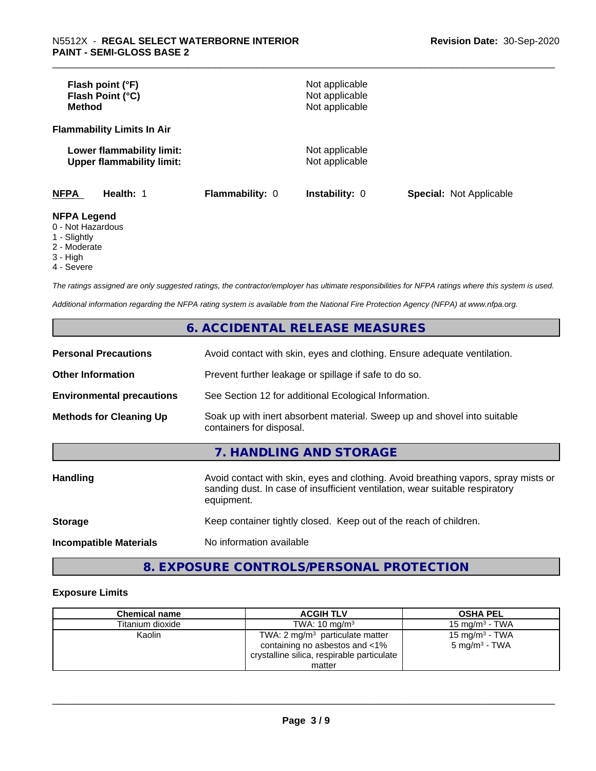| Flash point (°F)<br>Flash Point (°C)<br><b>Method</b>                                        |                 | Not applicable<br>Not applicable<br>Not applicable |                                |
|----------------------------------------------------------------------------------------------|-----------------|----------------------------------------------------|--------------------------------|
| <b>Flammability Limits In Air</b>                                                            |                 |                                                    |                                |
| Lower flammability limit:<br><b>Upper flammability limit:</b>                                |                 | Not applicable<br>Not applicable                   |                                |
| <b>NFPA</b><br>Health: 1                                                                     | Flammability: 0 | <b>Instability: 0</b>                              | <b>Special: Not Applicable</b> |
| <b>NFPA Legend</b><br>0 - Not Hazardous<br>$\mathcal{A}$ of $\mathcal{A}$ is $\mathcal{A}$ . |                 |                                                    |                                |

1 - Slightly

2 - Moderate

3 - High

4 - Severe

*The ratings assigned are only suggested ratings, the contractor/employer has ultimate responsibilities for NFPA ratings where this system is used.*

*Additional information regarding the NFPA rating system is available from the National Fire Protection Agency (NFPA) at www.nfpa.org.*

#### **6. ACCIDENTAL RELEASE MEASURES**

| <b>Personal Precautions</b>      | Avoid contact with skin, eyes and clothing. Ensure adequate ventilation.                                                                                                         |
|----------------------------------|----------------------------------------------------------------------------------------------------------------------------------------------------------------------------------|
| <b>Other Information</b>         | Prevent further leakage or spillage if safe to do so.                                                                                                                            |
| <b>Environmental precautions</b> | See Section 12 for additional Ecological Information.                                                                                                                            |
| <b>Methods for Cleaning Up</b>   | Soak up with inert absorbent material. Sweep up and shovel into suitable<br>containers for disposal.                                                                             |
|                                  | 7. HANDLING AND STORAGE                                                                                                                                                          |
| Handling                         | Avoid contact with skin, eyes and clothing. Avoid breathing vapors, spray mists or<br>sanding dust. In case of insufficient ventilation, wear suitable respiratory<br>equipment. |
| <b>Storage</b>                   | Keep container tightly closed. Keep out of the reach of children.                                                                                                                |
| <b>Incompatible Materials</b>    | No information available                                                                                                                                                         |

### **8. EXPOSURE CONTROLS/PERSONAL PROTECTION**

#### **Exposure Limits**

| <b>Chemical name</b> | <b>ACGIH TLV</b>                                                                                                           | <b>OSHA PEL</b>                               |
|----------------------|----------------------------------------------------------------------------------------------------------------------------|-----------------------------------------------|
| Titanium dioxide     | TWA: $10 \text{ ma/m}^3$                                                                                                   | 15 mg/m $3$ - TWA                             |
| Kaolin               | TWA: $2 \text{ mg/m}^3$ particulate matter<br>containing no asbestos and <1%<br>crystalline silica, respirable particulate | 15 mg/m $3$ - TWA<br>$5 \text{ mg/m}^3$ - TWA |
|                      | matter                                                                                                                     |                                               |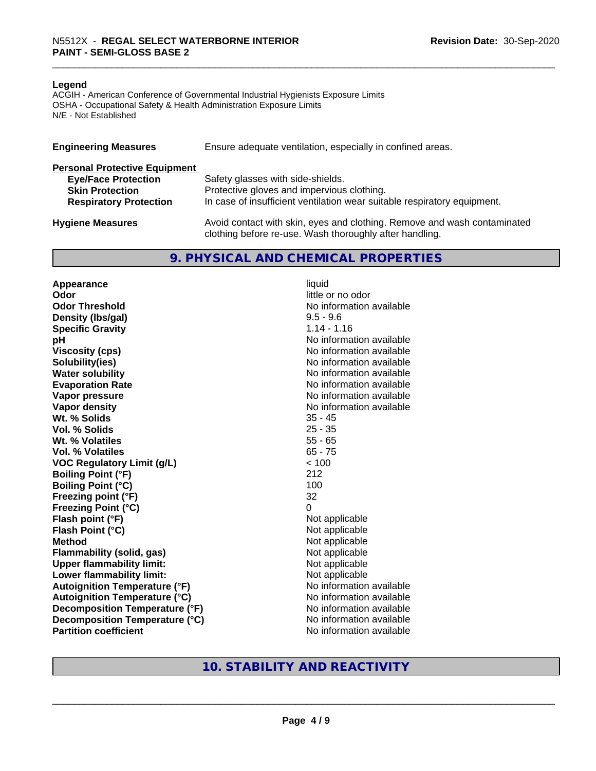#### **Legend**

ACGIH - American Conference of Governmental Industrial Hygienists Exposure Limits OSHA - Occupational Safety & Health Administration Exposure Limits N/E - Not Established

| <b>Engineering Measures</b>          | Ensure adequate ventilation, especially in confined areas.                                                                          |
|--------------------------------------|-------------------------------------------------------------------------------------------------------------------------------------|
| <b>Personal Protective Equipment</b> |                                                                                                                                     |
| <b>Eye/Face Protection</b>           | Safety glasses with side-shields.                                                                                                   |
| <b>Skin Protection</b>               | Protective gloves and impervious clothing.                                                                                          |
| <b>Respiratory Protection</b>        | In case of insufficient ventilation wear suitable respiratory equipment.                                                            |
| <b>Hygiene Measures</b>              | Avoid contact with skin, eyes and clothing. Remove and wash contaminated<br>clothing before re-use. Wash thoroughly after handling. |

#### **9. PHYSICAL AND CHEMICAL PROPERTIES**

**Appearance** liquid **Odor** little or no odor **Odor Threshold No information available No information available Density (lbs/gal)** 9.5 - 9.6<br> **Specific Gravity** 1.14 - 1.16 **Specific Gravity pH pH**  $\blacksquare$ **Viscosity (cps)** No information available **Solubility(ies)** No information available **Water solubility** No information available **Evaporation Rate No information available No information available Vapor pressure** No information available **No information available Vapor density**<br> **We Solids**<br>
We Solids
25 - 45 Wt. % Solids **Vol. % Solids** 25 - 35 **Wt. % Volatiles** 55 - 65 **Vol. % Volatiles** 65 - 75 **VOC Regulatory Limit (g/L)** < 100 **Boiling Point (°F)** 212 **Boiling Point (°C)** 100 **Freezing point (°F)** 32 **Freezing Point (°C)** 0 **Flash point (°F)**<br> **Flash Point (°C)**<br> **Flash Point (°C)**<br> **C Flash Point (°C)**<br>Method **Flammability (solid, gas)**<br> **Upper flammability limit:**<br>
Upper flammability limit:<br>  $\begin{array}{ccc}\n\bullet & \bullet & \bullet \\
\bullet & \bullet & \bullet\n\end{array}$  Not applicable **Upper flammability limit:**<br> **Lower flammability limit:**<br>
Not applicable<br>
Not applicable **Lower flammability limit: Autoignition Temperature (°F)** No information available **Autoignition Temperature (°C)** No information available **Decomposition Temperature (°F)** No information available **Decomposition Temperature (°C)** No information available **Partition coefficient** No information available

**Not applicable** 

#### **10. STABILITY AND REACTIVITY**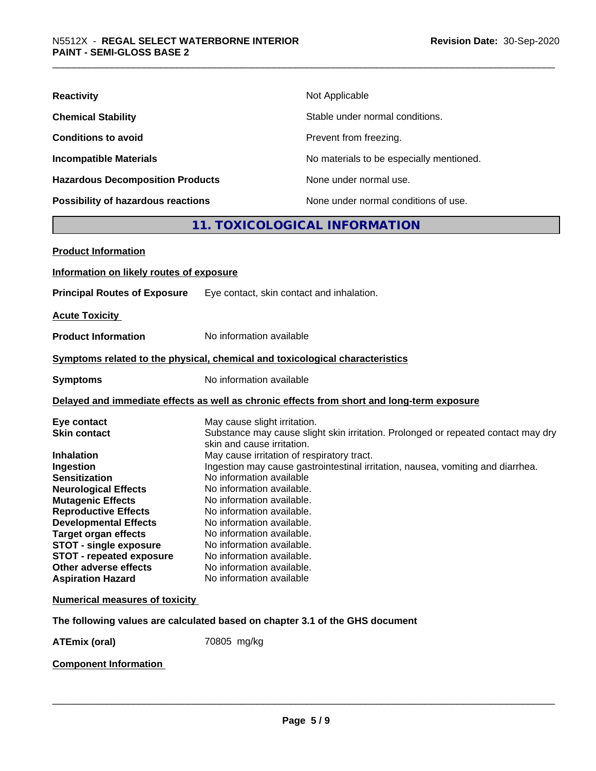| <b>Reactivity</b>                       | Not Applicable                           |
|-----------------------------------------|------------------------------------------|
| <b>Chemical Stability</b>               | Stable under normal conditions.          |
| <b>Conditions to avoid</b>              | Prevent from freezing.                   |
| <b>Incompatible Materials</b>           | No materials to be especially mentioned. |
| <b>Hazardous Decomposition Products</b> | None under normal use.                   |
| Possibility of hazardous reactions      | None under normal conditions of use.     |

#### **11. TOXICOLOGICAL INFORMATION**

| <b>Product Information</b>                                                                                                                                                                                                                                                                                                                                                     |                                                                                                                                                                                                                                                                                                                                                                                                                                                                                                                                                                                  |
|--------------------------------------------------------------------------------------------------------------------------------------------------------------------------------------------------------------------------------------------------------------------------------------------------------------------------------------------------------------------------------|----------------------------------------------------------------------------------------------------------------------------------------------------------------------------------------------------------------------------------------------------------------------------------------------------------------------------------------------------------------------------------------------------------------------------------------------------------------------------------------------------------------------------------------------------------------------------------|
| Information on likely routes of exposure                                                                                                                                                                                                                                                                                                                                       |                                                                                                                                                                                                                                                                                                                                                                                                                                                                                                                                                                                  |
| <b>Principal Routes of Exposure</b>                                                                                                                                                                                                                                                                                                                                            | Eye contact, skin contact and inhalation.                                                                                                                                                                                                                                                                                                                                                                                                                                                                                                                                        |
| <b>Acute Toxicity</b>                                                                                                                                                                                                                                                                                                                                                          |                                                                                                                                                                                                                                                                                                                                                                                                                                                                                                                                                                                  |
| <b>Product Information</b>                                                                                                                                                                                                                                                                                                                                                     | No information available                                                                                                                                                                                                                                                                                                                                                                                                                                                                                                                                                         |
|                                                                                                                                                                                                                                                                                                                                                                                | Symptoms related to the physical, chemical and toxicological characteristics                                                                                                                                                                                                                                                                                                                                                                                                                                                                                                     |
| <b>Symptoms</b>                                                                                                                                                                                                                                                                                                                                                                | No information available                                                                                                                                                                                                                                                                                                                                                                                                                                                                                                                                                         |
|                                                                                                                                                                                                                                                                                                                                                                                | Delayed and immediate effects as well as chronic effects from short and long-term exposure                                                                                                                                                                                                                                                                                                                                                                                                                                                                                       |
| Eye contact<br><b>Skin contact</b><br><b>Inhalation</b><br>Ingestion<br><b>Sensitization</b><br><b>Neurological Effects</b><br><b>Mutagenic Effects</b><br><b>Reproductive Effects</b><br><b>Developmental Effects</b><br><b>Target organ effects</b><br><b>STOT - single exposure</b><br><b>STOT - repeated exposure</b><br>Other adverse effects<br><b>Aspiration Hazard</b> | May cause slight irritation.<br>Substance may cause slight skin irritation. Prolonged or repeated contact may dry<br>skin and cause irritation.<br>May cause irritation of respiratory tract.<br>Ingestion may cause gastrointestinal irritation, nausea, vomiting and diarrhea.<br>No information available<br>No information available.<br>No information available.<br>No information available.<br>No information available.<br>No information available.<br>No information available.<br>No information available.<br>No information available.<br>No information available |
| <b>Numerical measures of toxicity</b>                                                                                                                                                                                                                                                                                                                                          |                                                                                                                                                                                                                                                                                                                                                                                                                                                                                                                                                                                  |
|                                                                                                                                                                                                                                                                                                                                                                                | The following values are calculated based on chapter 3.1 of the GHS document                                                                                                                                                                                                                                                                                                                                                                                                                                                                                                     |
| <b>ATEmix (oral)</b>                                                                                                                                                                                                                                                                                                                                                           | 70805 mg/kg                                                                                                                                                                                                                                                                                                                                                                                                                                                                                                                                                                      |
|                                                                                                                                                                                                                                                                                                                                                                                |                                                                                                                                                                                                                                                                                                                                                                                                                                                                                                                                                                                  |

**Component Information**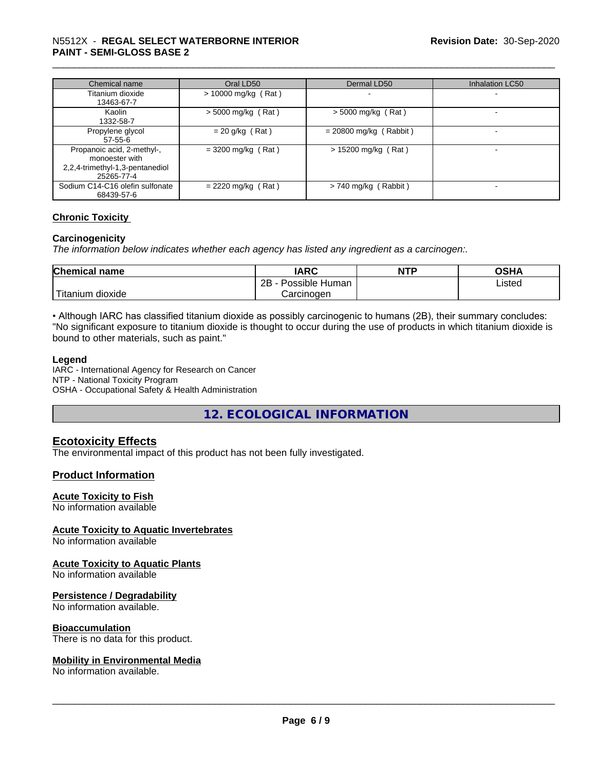#### \_\_\_\_\_\_\_\_\_\_\_\_\_\_\_\_\_\_\_\_\_\_\_\_\_\_\_\_\_\_\_\_\_\_\_\_\_\_\_\_\_\_\_\_\_\_\_\_\_\_\_\_\_\_\_\_\_\_\_\_\_\_\_\_\_\_\_\_\_\_\_\_\_\_\_\_\_\_\_\_\_\_\_\_\_\_\_\_\_\_\_\_\_ N5512X - **REGAL SELECT WATERBORNE INTERIOR PAINT - SEMI-GLOSS BASE 2**

| Chemical name                   | Oral LD50             | Dermal LD50              | Inhalation LC50 |
|---------------------------------|-----------------------|--------------------------|-----------------|
| Titanium dioxide                | $> 10000$ mg/kg (Rat) |                          |                 |
| 13463-67-7                      |                       |                          |                 |
| Kaolin                          | $>$ 5000 mg/kg (Rat)  | $>$ 5000 mg/kg (Rat)     |                 |
| 1332-58-7                       |                       |                          |                 |
| Propylene glycol                | $= 20$ g/kg (Rat)     | $= 20800$ mg/kg (Rabbit) |                 |
| 57-55-6                         |                       |                          |                 |
| Propanoic acid, 2-methyl-,      | $=$ 3200 mg/kg (Rat)  | $> 15200$ mg/kg (Rat)    |                 |
| monoester with                  |                       |                          |                 |
| 2,2,4-trimethyl-1,3-pentanediol |                       |                          |                 |
| 25265-77-4                      |                       |                          |                 |
| Sodium C14-C16 olefin sulfonate | $= 2220$ mg/kg (Rat)  | $> 740$ mg/kg (Rabbit)   |                 |
| 68439-57-6                      |                       |                          |                 |

#### **Chronic Toxicity**

#### **Carcinogenicity**

*The information below indicateswhether each agency has listed any ingredient as a carcinogen:.*

| <b>Chemical</b><br>name          | <b>IARC</b>                    | <b>NTP</b> | <b>OGHA</b><br>∪אח |
|----------------------------------|--------------------------------|------------|--------------------|
|                                  | .<br>2B<br>Possible<br>: Human |            | Listed             |
| .<br>. dioxide<br><b>itanium</b> | Carcinoɑen                     |            |                    |

• Although IARC has classified titanium dioxide as possibly carcinogenic to humans (2B), their summary concludes: "No significant exposure to titanium dioxide is thought to occur during the use of products in which titanium dioxide is bound to other materials, such as paint."

#### **Legend**

IARC - International Agency for Research on Cancer NTP - National Toxicity Program OSHA - Occupational Safety & Health Administration

**12. ECOLOGICAL INFORMATION**

#### **Ecotoxicity Effects**

The environmental impact of this product has not been fully investigated.

#### **Product Information**

#### **Acute Toxicity to Fish**

No information available

#### **Acute Toxicity to Aquatic Invertebrates**

No information available

#### **Acute Toxicity to Aquatic Plants**

No information available

#### **Persistence / Degradability**

No information available.

#### **Bioaccumulation**

There is no data for this product.

#### **Mobility in Environmental Media**

No information available.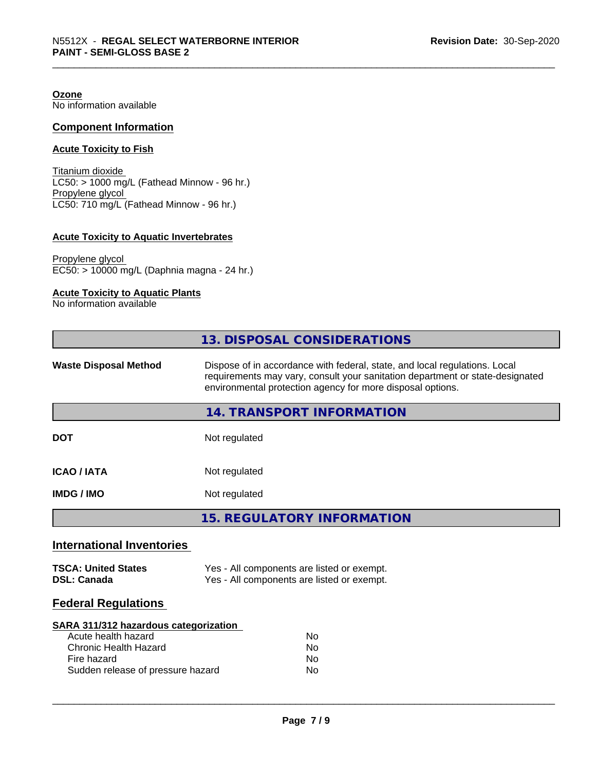**Ozone** No information available

#### **Component Information**

#### **Acute Toxicity to Fish**

Titanium dioxide  $LC50: > 1000$  mg/L (Fathead Minnow - 96 hr.) Propylene glycol LC50: 710 mg/L (Fathead Minnow - 96 hr.)

#### **Acute Toxicity to Aquatic Invertebrates**

Propylene glycol EC50: > 10000 mg/L (Daphnia magna - 24 hr.)

#### **Acute Toxicity to Aquatic Plants**

No information available

|                                                                                                                                                  | 13. DISPOSAL CONSIDERATIONS                                                                                                                                                                                               |  |
|--------------------------------------------------------------------------------------------------------------------------------------------------|---------------------------------------------------------------------------------------------------------------------------------------------------------------------------------------------------------------------------|--|
| <b>Waste Disposal Method</b>                                                                                                                     | Dispose of in accordance with federal, state, and local regulations. Local<br>requirements may vary, consult your sanitation department or state-designated<br>environmental protection agency for more disposal options. |  |
|                                                                                                                                                  | 14. TRANSPORT INFORMATION                                                                                                                                                                                                 |  |
| <b>DOT</b>                                                                                                                                       | Not regulated                                                                                                                                                                                                             |  |
| <b>ICAO / IATA</b>                                                                                                                               | Not regulated                                                                                                                                                                                                             |  |
| <b>IMDG / IMO</b>                                                                                                                                | Not regulated                                                                                                                                                                                                             |  |
|                                                                                                                                                  | <b>15. REGULATORY INFORMATION</b>                                                                                                                                                                                         |  |
| <b>International Inventories</b>                                                                                                                 |                                                                                                                                                                                                                           |  |
| <b>TSCA: United States</b><br><b>DSL: Canada</b>                                                                                                 | Yes - All components are listed or exempt.<br>Yes - All components are listed or exempt.                                                                                                                                  |  |
| <b>Federal Regulations</b>                                                                                                                       |                                                                                                                                                                                                                           |  |
| SARA 311/312 hazardous categorization<br>Acute health hazard<br><b>Chronic Health Hazard</b><br>Fire hazard<br>Sudden release of pressure hazard | <b>No</b><br>No<br>No<br><b>No</b>                                                                                                                                                                                        |  |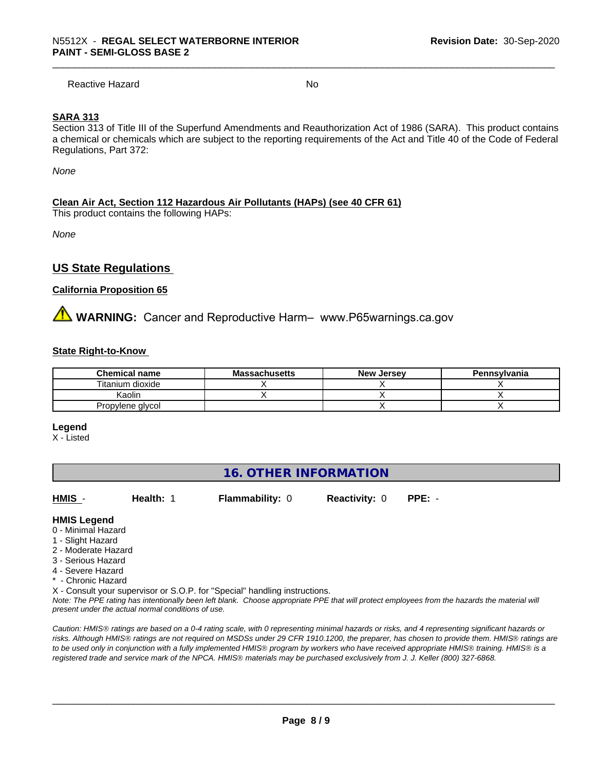Reactive Hazard No. No. 2014

#### **SARA 313**

Section 313 of Title III of the Superfund Amendments and Reauthorization Act of 1986 (SARA). This product contains a chemical or chemicals which are subject to the reporting requirements of the Act and Title 40 of the Code of Federal Regulations, Part 372:

*None*

#### **Clean Air Act,Section 112 Hazardous Air Pollutants (HAPs) (see 40 CFR 61)**

This product contains the following HAPs:

*None*

#### **US State Regulations**

#### **California Proposition 65**

**WARNING:** Cancer and Reproductive Harm– www.P65warnings.ca.gov

#### **State Right-to-Know**

| <b>Chemical name</b> | <b>Massachusetts</b> | <b>New Jersey</b> | Pennsylvania |
|----------------------|----------------------|-------------------|--------------|
| Titanium dioxide     |                      |                   |              |
| Kaolin               |                      |                   |              |
| Propylene glycol     |                      |                   |              |

**Legend**

X - Listed

#### **16. OTHER INFORMATION**

**HMIS** - **Health:** 1 **Flammability:** 0 **Reactivity:** 0 **PPE:** -

 $\overline{\phantom{a}}$  ,  $\overline{\phantom{a}}$  ,  $\overline{\phantom{a}}$  ,  $\overline{\phantom{a}}$  ,  $\overline{\phantom{a}}$  ,  $\overline{\phantom{a}}$  ,  $\overline{\phantom{a}}$  ,  $\overline{\phantom{a}}$  ,  $\overline{\phantom{a}}$  ,  $\overline{\phantom{a}}$  ,  $\overline{\phantom{a}}$  ,  $\overline{\phantom{a}}$  ,  $\overline{\phantom{a}}$  ,  $\overline{\phantom{a}}$  ,  $\overline{\phantom{a}}$  ,  $\overline{\phantom{a}}$ 

**HMIS Legend**

- 0 Minimal Hazard
- 1 Slight Hazard
- 2 Moderate Hazard
- 3 Serious Hazard
- 4 Severe Hazard
- \* Chronic Hazard

X - Consult your supervisor or S.O.P. for "Special" handling instructions.

*Note: The PPE rating has intentionally been left blank. Choose appropriate PPE that will protect employees from the hazards the material will present under the actual normal conditions of use.*

*Caution: HMISÒ ratings are based on a 0-4 rating scale, with 0 representing minimal hazards or risks, and 4 representing significant hazards or risks. Although HMISÒ ratings are not required on MSDSs under 29 CFR 1910.1200, the preparer, has chosen to provide them. HMISÒ ratings are to be used only in conjunction with a fully implemented HMISÒ program by workers who have received appropriate HMISÒ training. HMISÒ is a registered trade and service mark of the NPCA. HMISÒ materials may be purchased exclusively from J. J. Keller (800) 327-6868.*